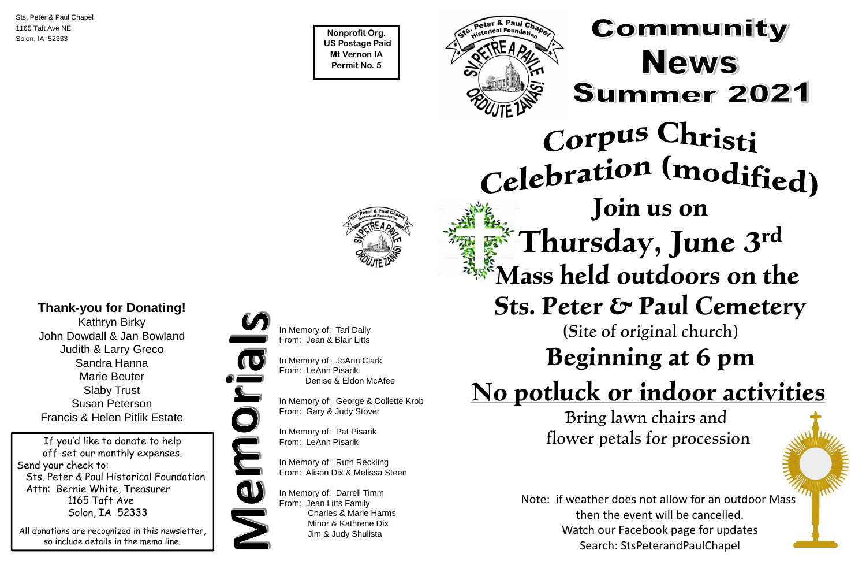**Nonprofit Org. US Postage Paid Mt Vernon IA Permit No. 5**





Sts. Peter & Paul Chapel 1165 Taft Ave NE Solon, IA 52333

If you'd like to donate to help off-set our monthly expenses. Send your check to: Sts. Peter & Paul Historical Foundation Attn: Bernie White, Treasurer 1165 Taft Ave Solon, IA 52333

All donations are recognized in this newsletter, so include details in the memo line.



# **Join us on Thursday, June 3 rd Mass held outdoors on the**

**Sts. Peter & Paul Cemetery**

#### (Site of original church)

## **Beginning at 6 pm**

## **No potluck or indoor activities**

Bring lawn chairs and flower petals for procession

Note: if weather does not allow for an outdoor Mass then the event will be cancelled. Watch our Facebook page for updates Search: StsPeterandPaulChapel



In Memory of: Tari Daily From: Jean & Blair Litts

In Memory of: JoAnn Clark From: LeAnn Pisarik Denise & Eldon McAfee

In Memory of: George & Collette Krob From: Gary & Judy Stover

In Memory of: Pat Pisarik From: LeAnn Pisarik

In Memory of: Ruth Reckling From: Alison Dix & Melissa Steen

In Memory of: Darrell Timm From: Jean Litts Family Charles & Marie Harms Minor & Kathrene Dix Jim & Judy Shulista

## Community **News Summer 2021**

# Corpus Christi Celebration (modified)

#### **Thank-you for Donating!**

Kathryn Birky John Dowdall & Jan Bowland Judith & Larry Greco Sandra Hanna Marie Beuter Slaby Trust Susan Peterson Francis & Helen Pitlik Estate